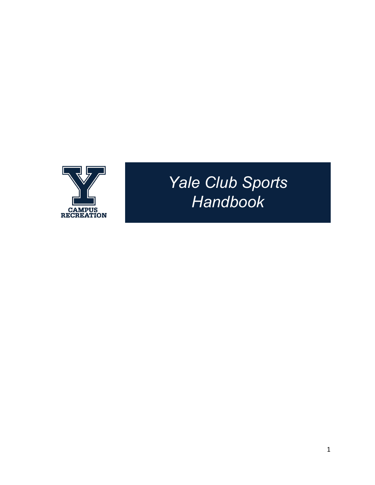

# *Yale Club Sports Handbook*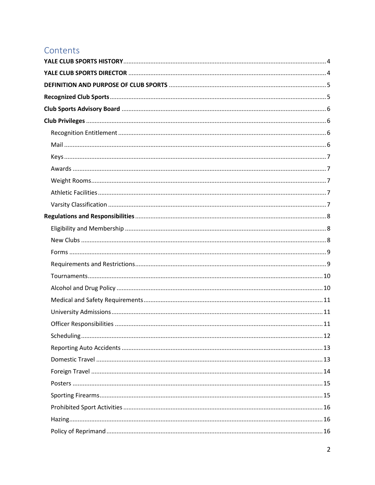# Contents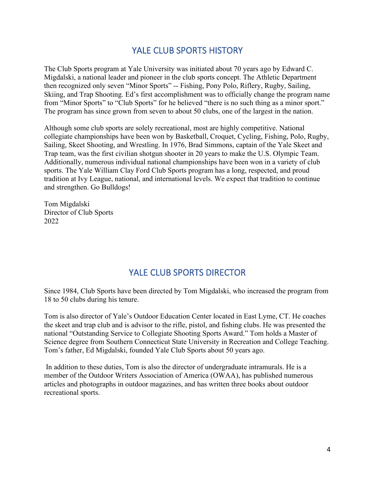# YALE CLUB SPORTS HISTORY

<span id="page-3-0"></span>The Club Sports program at Yale University was initiated about 70 years ago by Edward C. Migdalski, a national leader and pioneer in the club sports concept. The Athletic Department then recognized only seven "Minor Sports" -- Fishing, Pony Polo, Riflery, Rugby, Sailing, Skiing, and Trap Shooting. Ed's first accomplishment was to officially change the program name from "Minor Sports" to "Club Sports" for he believed "there is no such thing as a minor sport." The program has since grown from seven to about 50 clubs, one of the largest in the nation.

Although some club sports are solely recreational, most are highly competitive. National collegiate championships have been won by Basketball, Croquet, Cycling, Fishing, Polo, Rugby, Sailing, Skeet Shooting, and Wrestling. In 1976, Brad Simmons, captain of the Yale Skeet and Trap team, was the first civilian shotgun shooter in 20 years to make the U.S. Olympic Team. Additionally, numerous individual national championships have been won in a variety of club sports. The Yale William Clay Ford Club Sports program has a long, respected, and proud tradition at Ivy League, national, and international levels. We expect that tradition to continue and strengthen. Go Bulldogs!

Tom Migdalski Director of Club Sports 2022

# YALE CLUB SPORTS DIRECTOR

<span id="page-3-1"></span>Since 1984, Club Sports have been directed by Tom Migdalski, who increased the program from 18 to 50 clubs during his tenure.

Tom is also director of Yale's Outdoor Education Center located in East Lyme, CT. He coaches the skeet and trap club and is advisor to the rifle, pistol, and fishing clubs. He was presented the national "Outstanding Service to Collegiate Shooting Sports Award." Tom holds a Master of Science degree from Southern Connecticut State University in Recreation and College Teaching. Tom's father, Ed Migdalski, founded Yale Club Sports about 50 years ago.

In addition to these duties, Tom is also the director of undergraduate intramurals. He is a member of the Outdoor Writers Association of America (OWAA), has published numerous articles and photographs in outdoor magazines, and has written three books about outdoor recreational sports.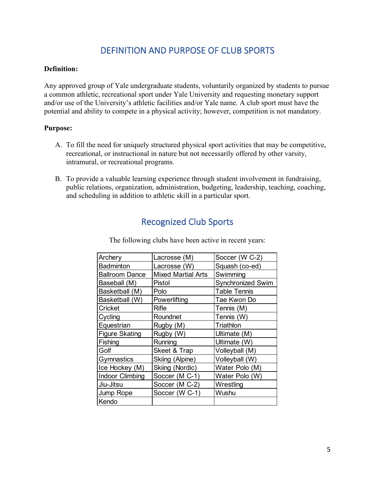# DEFINITION AND PURPOSE OF CLUB SPORTS

#### <span id="page-4-0"></span>**Definition:**

Any approved group of Yale undergraduate students, voluntarily organized by students to pursue a common athletic, recreational sport under Yale University and requesting monetary support and/or use of the University's athletic facilities and/or Yale name. A club sport must have the potential and ability to compete in a physical activity; however, competition is not mandatory.

#### **Purpose:**

- A. To fill the need for uniquely structured physical sport activities that may be competitive, recreational, or instructional in nature but not necessarily offered by other varsity, intramural, or recreational programs.
- <span id="page-4-1"></span>B. To provide a valuable learning experience through student involvement in fundraising, public relations, organization, administration, budgeting, leadership, teaching, coaching, and scheduling in addition to athletic skill in a particular sport.

# Recognized Club Sports

| Archery                | Lacrosse (M)              | Soccer (W C-2)           |
|------------------------|---------------------------|--------------------------|
| <b>Badminton</b>       | Lacrosse (W)              | Squash (co-ed)           |
| <b>Ballroom Dance</b>  | <b>Mixed Martial Arts</b> | Swimming                 |
| Baseball (M)           | Pistol                    | <b>Synchronized Swim</b> |
| Basketball (M)         | Polo                      | <b>Table Tennis</b>      |
| Basketball (W)         | Powerlifting              | Tae Kwon Do              |
| Cricket                | Rifle                     | Tennis (M)               |
| Cycling                | Roundnet                  | Tennis (W)               |
| Equestrian             | Rugby (M)                 | Triathlon                |
| <b>Figure Skating</b>  | Rugby (W)                 | Ultimate (M)             |
| Fishing                | Running                   | Ultimate (W)             |
| Golf                   | Skeet & Trap              | Volleyball (M)           |
| Gymnastics             | Skiing (Alpine)           | Volleyball (W)           |
| Ice Hockey (M)         | Skiing (Nordic)           | Water Polo (M)           |
| <b>Indoor Climbing</b> | Soccer (M C-1)            | Water Polo (W)           |
| Jiu-Jitsu              | Soccer (M C-2)            | Wrestling                |
| Jump Rope              | Soccer (W C-1)            | Wushu                    |
| Kendo                  |                           |                          |

The following clubs have been active in recent years: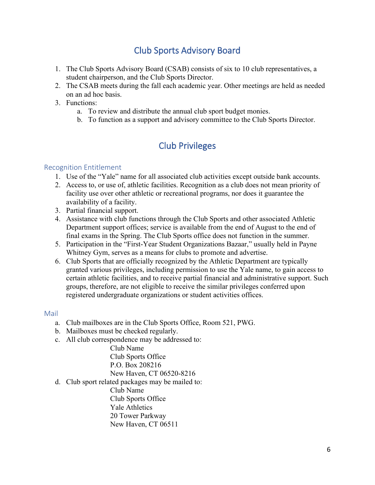# Club Sports Advisory Board

- <span id="page-5-0"></span>1. The Club Sports Advisory Board (CSAB) consists of six to 10 club representatives, a student chairperson, and the Club Sports Director.
- 2. The CSAB meets during the fall each academic year. Other meetings are held as needed on an ad hoc basis.
- 3. Functions:
	- a. To review and distribute the annual club sport budget monies.
	- b. To function as a support and advisory committee to the Club Sports Director.

# Club Privileges

# <span id="page-5-2"></span><span id="page-5-1"></span>Recognition Entitlement

- 1. Use of the "Yale" name for all associated club activities except outside bank accounts.
- 2. Access to, or use of, athletic facilities. Recognition as a club does not mean priority of facility use over other athletic or recreational programs, nor does it guarantee the availability of a facility.
- 3. Partial financial support.
- 4. Assistance with club functions through the Club Sports and other associated Athletic Department support offices; service is available from the end of August to the end of final exams in the Spring. The Club Sports office does not function in the summer.
- 5. Participation in the "First-Year Student Organizations Bazaar," usually held in Payne Whitney Gym, serves as a means for clubs to promote and advertise.
- 6. Club Sports that are officially recognized by the Athletic Department are typically granted various privileges, including permission to use the Yale name, to gain access to certain athletic facilities, and to receive partial financial and administrative support. Such groups, therefore, are not eligible to receive the similar privileges conferred upon registered undergraduate organizations or student activities offices.

## <span id="page-5-3"></span>Mail

- a. Club mailboxes are in the Club Sports Office, Room 521, PWG.
- b. Mailboxes must be checked regularly.
- c. All club correspondence may be addressed to:

Club Name Club Sports Office P.O. Box 208216 New Haven, CT 06520-8216

d. Club sport related packages may be mailed to:

Club Name Club Sports Office Yale Athletics 20 Tower Parkway New Haven, CT 06511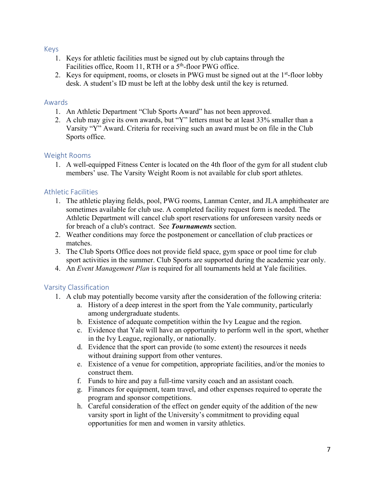## <span id="page-6-0"></span>Keys

- 1. Keys for athletic facilities must be signed out by club captains through the Facilities office, Room 11, RTH or a 5<sup>th</sup>-floor PWG office.
- 2. Keys for equipment, rooms, or closets in PWG must be signed out at the  $1<sup>st</sup>$ -floor lobby desk. A student's ID must be left at the lobby desk until the key is returned.

## <span id="page-6-1"></span>Awards

- 1. An Athletic Department "Club Sports Award" has not been approved.
- 2. A club may give its own awards, but "Y" letters must be at least 33% smaller than a Varsity "Y" Award. Criteria for receiving such an award must be on file in the Club Sports office.

# <span id="page-6-2"></span>Weight Rooms

1. A well-equipped Fitness Center is located on the 4th floor of the gym for all student club members' use. The Varsity Weight Room is not available for club sport athletes.

# <span id="page-6-3"></span>Athletic Facilities

- 1. The athletic playing fields, pool, PWG rooms, Lanman Center, and JLA amphitheater are sometimes available for club use. A completed facility request form is needed. The Athletic Department will cancel club sport reservations for unforeseen varsity needs or for breach of a club's contract. See *Tournaments* section.
- 2. Weather conditions may force the postponement or cancellation of club practices or matches.
- 3. The Club Sports Office does not provide field space, gym space or pool time for club sport activities in the summer. Club Sports are supported during the academic year only.
- 4. An *Event Management Plan* is required for all tournaments held at Yale facilities.

# <span id="page-6-4"></span>Varsity Classification

- 1. A club may potentially become varsity after the consideration of the following criteria:
	- a. History of a deep interest in the sport from the Yale community, particularly among undergraduate students.
	- b. Existence of adequate competition within the Ivy League and the region.
	- c. Evidence that Yale will have an opportunity to perform well in the sport, whether in the Ivy League, regionally, or nationally.
	- d. Evidence that the sport can provide (to some extent) the resources it needs without draining support from other ventures.
	- e. Existence of a venue for competition, appropriate facilities, and/or the monies to construct them.
	- f. Funds to hire and pay a full-time varsity coach and an assistant coach.
	- g. Finances for equipment, team travel, and other expenses required to operate the program and sponsor competitions.
	- h. Careful consideration of the effect on gender equity of the addition of the new varsity sport in light of the University's commitment to providing equal opportunities for men and women in varsity athletics.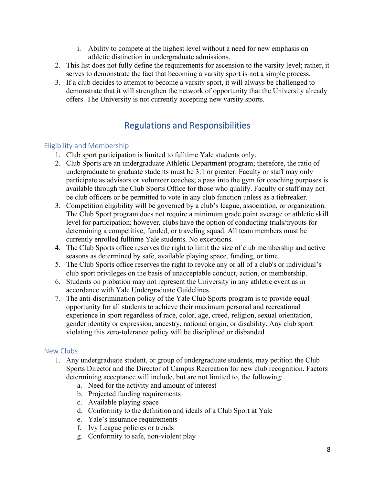- i. Ability to compete at the highest level without a need for new emphasis on athletic distinction in undergraduate admissions.
- 2. This list does not fully define the requirements for ascension to the varsity level; rather, it serves to demonstrate the fact that becoming a varsity sport is not a simple process.
- 3. If a club decides to attempt to become a varsity sport, it will always be challenged to demonstrate that it will strengthen the network of opportunity that the University already offers. The University is not currently accepting new varsity sports.

# Regulations and Responsibilities

# <span id="page-7-1"></span><span id="page-7-0"></span>Eligibility and Membership

- 1. Club sport participation is limited to fulltime Yale students only.
- 2. Club Sports are an undergraduate Athletic Department program; therefore, the ratio of undergraduate to graduate students must be 3:1 or greater. Faculty or staff may only participate as advisors or volunteer coaches; a pass into the gym for coaching purposes is available through the Club Sports Office for those who qualify. Faculty or staff may not be club officers or be permitted to vote in any club function unless as a tiebreaker.
- 3. Competition eligibility will be governed by a club's league, association, or organization. The Club Sport program does not require a minimum grade point average or athletic skill level for participation; however, clubs have the option of conducting trials/tryouts for determining a competitive, funded, or traveling squad. All team members must be currently enrolled fulltime Yale students. No exceptions.
- 4. The Club Sports office reserves the right to limit the size of club membership and active seasons as determined by safe, available playing space, funding, or time.
- 5. The Club Sports office reserves the right to revoke any or all of a club's or individual's club sport privileges on the basis of unacceptable conduct, action, or membership.
- 6. Students on probation may not represent the University in any athletic event as in accordance with Yale Undergraduate Guidelines.
- 7. The anti-discrimination policy of the Yale Club Sports program is to provide equal opportunity for all students to achieve their maximum personal and recreational experience in sport regardless of race, color, age, creed, religion, sexual orientation, gender identity or expression, ancestry, national origin, or disability. Any club sport violating this zero-tolerance policy will be disciplined or disbanded.

# <span id="page-7-2"></span>New Clubs

- 1. Any undergraduate student, or group of undergraduate students, may petition the Club Sports Director and the Director of Campus Recreation for new club recognition. Factors determining acceptance will include, but are not limited to, the following:
	- a. Need for the activity and amount of interest
	- b. Projected funding requirements
	- c. Available playing space
	- d. Conformity to the definition and ideals of a Club Sport at Yale
	- e. Yale's insurance requirements
	- f. Ivy League policies or trends
	- g. Conformity to safe, non-violent play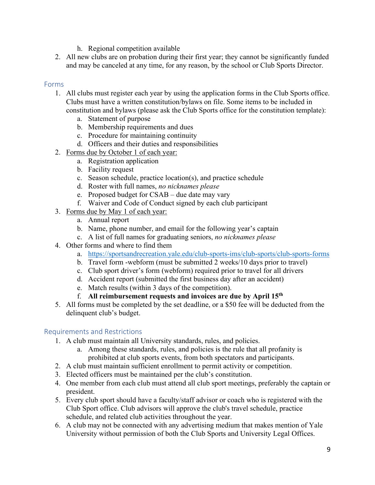- h. Regional competition available
- 2. All new clubs are on probation during their first year; they cannot be significantly funded and may be canceled at any time, for any reason, by the school or Club Sports Director.

# <span id="page-8-0"></span>Forms

- 1. All clubs must register each year by using the application forms in the Club Sports office. Clubs must have a written constitution/bylaws on file. Some items to be included in constitution and bylaws (please ask the Club Sports office for the constitution template):
	- a. Statement of purpose
	- b. Membership requirements and dues
	- c. Procedure for maintaining continuity
	- d. Officers and their duties and responsibilities
- 2. Forms due by October 1 of each year:
	- a. Registration application
	- b. Facility request
	- c. Season schedule, practice location(s), and practice schedule
	- d. Roster with full names, *no nicknames please*
	- e. Proposed budget for CSAB due date may vary
	- f. Waiver and Code of Conduct signed by each club participant
- 3. Forms due by May 1 of each year:
	- a. Annual report
	- b. Name, phone number, and email for the following year's captain
	- c. A list of full names for graduating seniors, *no nicknames please*
- 4. Other forms and where to find them
	- a. <https://sportsandrecreation.yale.edu/club-sports-ims/club-sports/club-sports-forms>
	- b. Travel form -webform (must be submitted 2 weeks/10 days prior to travel)
	- c. Club sport driver's form (webform) required prior to travel for all drivers
	- d. Accident report (submitted the first business day after an accident)
	- e. Match results (within 3 days of the competition).
	- f. **All reimbursement requests and invoices are due by April 15th**
- 5. All forms must be completed by the set deadline, or a \$50 fee will be deducted from the delinquent club's budget.

# <span id="page-8-1"></span>Requirements and Restrictions

- 1. A club must maintain all University standards, rules, and policies.
	- a. Among these standards, rules, and policies is the rule that all profanity is prohibited at club sports events, from both spectators and participants.
- 2. A club must maintain sufficient enrollment to permit activity or competition.
- 3. Elected officers must be maintained per the club's constitution.
- 4. One member from each club must attend all club sport meetings, preferably the captain or president.
- 5. Every club sport should have a faculty/staff advisor or coach who is registered with the Club Sport office. Club advisors will approve the club's travel schedule, practice schedule, and related club activities throughout the year.
- 6. A club may not be connected with any advertising medium that makes mention of Yale University without permission of both the Club Sports and University Legal Offices.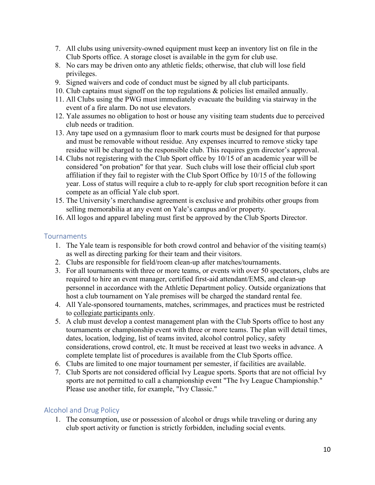- 7. All clubs using university-owned equipment must keep an inventory list on file in the Club Sports office. A storage closet is available in the gym for club use.
- 8. No cars may be driven onto any athletic fields; otherwise, that club will lose field privileges.
- 9. Signed waivers and code of conduct must be signed by all club participants.
- 10. Club captains must signoff on the top regulations & policies list emailed annually.
- 11. All Clubs using the PWG must immediately evacuate the building via stairway in the event of a fire alarm. Do not use elevators.
- 12. Yale assumes no obligation to host or house any visiting team students due to perceived club needs or tradition.
- 13. Any tape used on a gymnasium floor to mark courts must be designed for that purpose and must be removable without residue. Any expenses incurred to remove sticky tape residue will be charged to the responsible club. This requires gym director's approval.
- 14. Clubs not registering with the Club Sport office by 10/15 of an academic year will be considered "on probation" for that year. Such clubs will lose their official club sport affiliation if they fail to register with the Club Sport Office by 10/15 of the following year. Loss of status will require a club to re-apply for club sport recognition before it can compete as an official Yale club sport.
- 15. The University's merchandise agreement is exclusive and prohibits other groups from selling memorabilia at any event on Yale's campus and/or property.
- 16. All logos and apparel labeling must first be approved by the Club Sports Director.

#### <span id="page-9-0"></span>**Tournaments**

- 1. The Yale team is responsible for both crowd control and behavior of the visiting team(s) as well as directing parking for their team and their visitors.
- 2. Clubs are responsible for field/room clean-up after matches/tournaments.
- 3. For all tournaments with three or more teams, or events with over 50 spectators, clubs are required to hire an event manager, certified first-aid attendant/EMS, and clean-up personnel in accordance with the Athletic Department policy. Outside organizations that host a club tournament on Yale premises will be charged the standard rental fee.
- 4. All Yale-sponsored tournaments, matches, scrimmages, and practices must be restricted to collegiate participants only.
- 5. A club must develop a contest management plan with the Club Sports office to host any tournaments or championship event with three or more teams. The plan will detail times, dates, location, lodging, list of teams invited, alcohol control policy, safety considerations, crowd control, etc. It must be received at least two weeks in advance. A complete template list of procedures is available from the Club Sports office.
- 6. Clubs are limited to one major tournament per semester, if facilities are available.
- 7. Club Sports are not considered official Ivy League sports. Sports that are not official Ivy sports are not permitted to call a championship event "The Ivy League Championship." Please use another title, for example, "Ivy Classic."

## <span id="page-9-1"></span>Alcohol and Drug Policy

1. The consumption, use or possession of alcohol or drugs while traveling or during any club sport activity or function is strictly forbidden, including social events.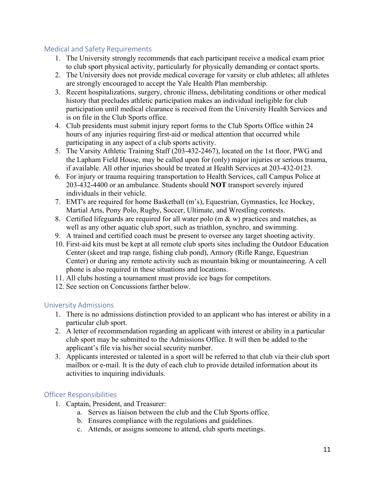# <span id="page-10-0"></span>Medical and Safety Requirements

- 1. The University strongly recommends that each participant receive a medical exam prior to club sport physical activity, particularly for physically demanding or contact sports.
- 2. The University does not provide medical coverage for varsity or club athletes; all athletes are strongly encouraged to accept the Yale Health Plan membership.
- 3. Recent hospitalizations, surgery, chronic illness, debilitating conditions or other medical history that precludes athletic participation makes an individual ineligible for club participation until medical clearance is received from the University Health Services and is on file in the Club Sports office.
- 4. Club presidents must submit injury report forms to the Club Sports Office within 24 hours of any injuries requiring first-aid or medical attention that occurred while participating in any aspect of a club sports activity.
- 5. The Varsity Athletic Training Staff (203-432-2467), located on the 1st floor, PWG and the Lapham Field House, may be called upon for (only) major injuries or serious trauma, if available. All other injuries should be treated at Health Services at 203-432-0123.
- 6. For injury or trauma requiring transportation to Health Services, call Campus Police at 203-432-4400 or an ambulance. Students should **NOT** transport severely injured individuals in their vehicle.
- 7. EMT's are required for home Basketball (m's), Equestrian, Gymnastics, Ice Hockey, Martial Arts, Pony Polo, Rugby, Soccer, Ultimate, and Wrestling contests.
- 8. Certified lifeguards are required for all water polo (m  $\&$  w) practices and matches, as well as any other aquatic club sport, such as triathlon, synchro, and swimming.
- 9. A trained and certified coach must be present to oversee any target shooting activity.
- 10. First-aid kits must be kept at all remote club sports sites including the Outdoor Education Center (skeet and trap range, fishing club pond), Armory (Rifle Range, Equestrian Center) or during any remote activity such as mountain biking or mountaineering. A cell phone is also required in these situations and locations.
- 11. All clubs hosting a tournament must provide ice bags for competitors.
- 12. See section on Concussions farther below.

# <span id="page-10-1"></span>University Admissions

- 1. There is no admissions distinction provided to an applicant who has interest or ability in a particular club sport.
- 2. A letter of recommendation regarding an applicant with interest or ability in a particular club sport may be submitted to the Admissions Office. It will then be added to the applicant's file via his/her social security number.
- 3. Applicants interested or talented in a sport will be referred to that club via their club sport mailbox or e-mail. It is the duty of each club to provide detailed information about its activities to inquiring individuals.

# <span id="page-10-2"></span>Officer Responsibilities

- 1. Captain, President, and Treasurer:
	- a. Serves as liaison between the club and the Club Sports office.
	- b. Ensures compliance with the regulations and guidelines.
	- c. Attends, or assigns someone to attend, club sports meetings.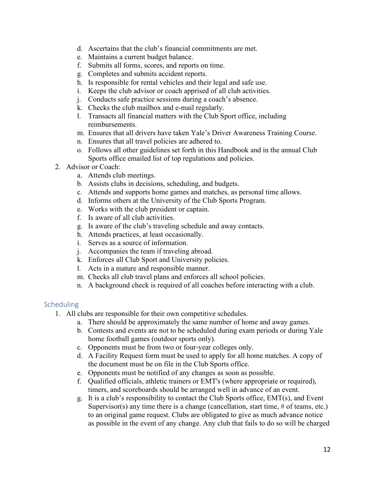- d. Ascertains that the club's financial commitments are met.
- e. Maintains a current budget balance.
- f. Submits all forms, scores, and reports on time.
- g. Completes and submits accident reports.
- h. Is responsible for rental vehicles and their legal and safe use.
- i. Keeps the club advisor or coach apprised of all club activities.
- j. Conducts safe practice sessions during a coach's absence.
- k. Checks the club mailbox and e-mail regularly.
- l. Transacts all financial matters with the Club Sport office, including reimbursements.
- m. Ensures that all drivers have taken Yale's Driver Awareness Training Course.
- n. Ensures that all travel policies are adhered to.
- o. Follows all other guidelines set forth in this Handbook and in the annual Club Sports office emailed list of top regulations and policies.
- 2. Advisor or Coach:
	- a. Attends club meetings.
	- b. Assists clubs in decisions, scheduling, and budgets.
	- c. Attends and supports home games and matches, as personal time allows.
	- d. Informs others at the University of the Club Sports Program.
	- e. Works with the club president or captain.
	- f. Is aware of all club activities.
	- g. Is aware of the club's traveling schedule and away contacts.
	- h. Attends practices, at least occasionally.
	- i. Serves as a source of information.
	- j. Accompanies the team if traveling abroad.
	- k. Enforces all Club Sport and University policies.
	- l. Acts in a mature and responsible manner.
	- m. Checks all club travel plans and enforces all school policies.
	- n. A background check is required of all coaches before interacting with a club.

## <span id="page-11-0"></span>**Scheduling**

- 1. All clubs are responsible for their own competitive schedules.
	- a. There should be approximately the same number of home and away games.
	- b. Contests and events are not to be scheduled during exam periods or during Yale home football games (outdoor sports only).
	- c. Opponents must be from two or four-year colleges only.
	- d. A Facility Request form must be used to apply for all home matches. A copy of the document must be on file in the Club Sports office.
	- e. Opponents must be notified of any changes as soon as possible.
	- f. Qualified officials, athletic trainers or EMT's (where appropriate or required), timers, and scoreboards should be arranged well in advance of an event.
	- g. It is a club's responsibility to contact the Club Sports office, EMT(s), and Event Supervisor(s) any time there is a change (cancellation, start time,  $#$  of teams, etc.) to an original game request. Clubs are obligated to give as much advance notice as possible in the event of any change. Any club that fails to do so will be charged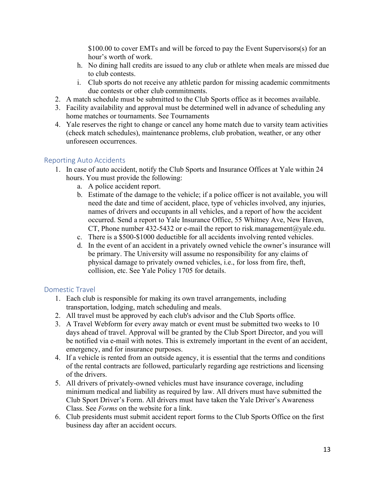\$100.00 to cover EMTs and will be forced to pay the Event Supervisors(s) for an hour's worth of work.

- h. No dining hall credits are issued to any club or athlete when meals are missed due to club contests.
- i. Club sports do not receive any athletic pardon for missing academic commitments due contests or other club commitments.
- 2. A match schedule must be submitted to the Club Sports office as it becomes available.
- 3. Facility availability and approval must be determined well in advance of scheduling any home matches or tournaments. See Tournaments
- 4. Yale reserves the right to change or cancel any home match due to varsity team activities (check match schedules), maintenance problems, club probation, weather, or any other unforeseen occurrences.

# <span id="page-12-0"></span>Reporting Auto Accidents

- 1. In case of auto accident, notify the Club Sports and Insurance Offices at Yale within 24 hours. You must provide the following:
	- a. A police accident report.
	- b. Estimate of the damage to the vehicle; if a police officer is not available, you will need the date and time of accident, place, type of vehicles involved, any injuries, names of drivers and occupants in all vehicles, and a report of how the accident occurred. Send a report to Yale Insurance Office, 55 Whitney Ave, New Haven, CT, Phone number 432-5432 or e-mail the report to risk.management@yale.edu.
	- c. There is a \$500-\$1000 deductible for all accidents involving rented vehicles.
	- d. In the event of an accident in a privately owned vehicle the owner's insurance will be primary. The University will assume no responsibility for any claims of physical damage to privately owned vehicles, i.e., for loss from fire, theft, collision, etc. See Yale Policy 1705 for details.

# <span id="page-12-1"></span>Domestic Travel

- 1. Each club is responsible for making its own travel arrangements, including transportation, lodging, match scheduling and meals.
- 2. All travel must be approved by each club's advisor and the Club Sports office.
- 3. A Travel Webform for every away match or event must be submitted two weeks to 10 days ahead of travel. Approval will be granted by the Club Sport Director, and you will be notified via e-mail with notes. This is extremely important in the event of an accident, emergency, and for insurance purposes.
- 4. If a vehicle is rented from an outside agency, it is essential that the terms and conditions of the rental contracts are followed, particularly regarding age restrictions and licensing of the drivers.
- 5. All drivers of privately-owned vehicles must have insurance coverage, including minimum medical and liability as required by law. All drivers must have submitted the Club Sport Driver's Form. All drivers must have taken the Yale Driver's Awareness Class. See *Forms* on the website for a link.
- 6. Club presidents must submit accident report forms to the Club Sports Office on the first business day after an accident occurs.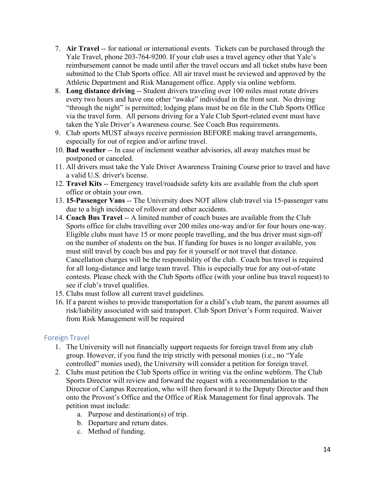- 7. **Air Travel** -- for national or international events. Tickets can be purchased through the Yale Travel, phone 203-764-9200. If your club uses a travel agency other that Yale's reimbursement cannot be made until after the travel occurs and all ticket stubs have been submitted to the Club Sports office. All air travel must be reviewed and approved by the Athletic Department and Risk Management office. Apply via online webform.
- 8. **Long distance driving** -- Student drivers traveling over 100 miles must rotate drivers every two hours and have one other "awake" individual in the front seat. No driving "through the night" is permitted; lodging plans must be on file in the Club Sports Office via the travel form. All persons driving for a Yale Club Sport-related event must have taken the Yale Driver's Awareness course. See Coach Bus requirements.
- 9. Club sports MUST always receive permission BEFORE making travel arrangements, especially for out of region and/or airline travel.
- 10. **Bad weather** -- In case of inclement weather advisories, all away matches must be postponed or canceled.
- 11. All drivers must take the Yale Driver Awareness Training Course prior to travel and have a valid U.S. driver's license.
- 12. **Travel Kits** -- Emergency travel/roadside safety kits are available from the club sport office or obtain your own.
- 13. **15-Passenger Vans** -- The University does NOT allow club travel via 15-passenger vans due to a high incidence of rollover and other accidents.
- 14. **Coach Bus Travel** -- A limited number of coach buses are available from the Club Sports office for clubs travelling over 200 miles one-way and/or for four hours one-way. Eligible clubs must have 15 or more people travelling, and the bus driver must sign-off on the number of students on the bus. If funding for buses is no longer available, you must still travel by coach bus and pay for it yourself or not travel that distance. Cancellation charges will be the responsibility of the club. Coach bus travel is required for all long-distance and large team travel. This is especially true for any out-of-state contests. Please check with the Club Sports office (with your online bus travel request) to see if club's travel qualifies.
- 15. Clubs must follow all current travel guidelines.
- 16. If a parent wishes to provide transportation for a child's club team, the parent assumes all risk/liability associated with said transport. Club Sport Driver's Form required. Waiver from Risk Management will be required

# <span id="page-13-0"></span>Foreign Travel

- 1. The University will not financially support requests for foreign travel from any club group. However, if you fund the trip strictly with personal monies (i.e., no "Yale controlled" monies used), the University will consider a petition for foreign travel.
- 2. Clubs must petition the Club Sports office in writing via the online webform. The Club Sports Director will review and forward the request with a recommendation to the Director of Campus Recreation, who will then forward it to the Deputy Director and then onto the Provost's Office and the Office of Risk Management for final approvals. The petition must include:
	- a. Purpose and destination(s) of trip.
	- b. Departure and return dates.
	- c. Method of funding.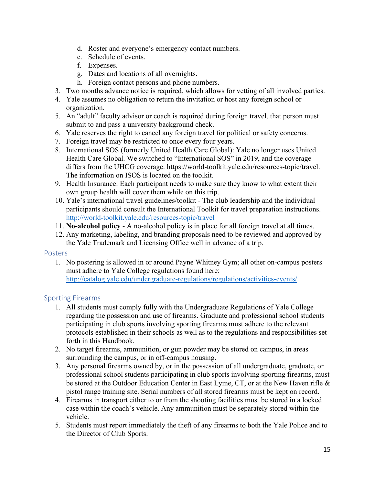- d. Roster and everyone's emergency contact numbers.
- e. Schedule of events.
- f. Expenses.
- g. Dates and locations of all overnights.
- h. Foreign contact persons and phone numbers.
- 3. Two months advance notice is required, which allows for vetting of all involved parties.
- 4. Yale assumes no obligation to return the invitation or host any foreign school or organization.
- 5. An "adult" faculty advisor or coach is required during foreign travel, that person must submit to and pass a university background check.
- 6. Yale reserves the right to cancel any foreign travel for political or safety concerns.
- 7. Foreign travel may be restricted to once every four years.
- 8. International SOS (formerly United Health Care Global): Yale no longer uses United Health Care Global. We switched to "International SOS" in 2019, and the coverage differs from the UHCG coverage. https://world-toolkit.yale.edu/resources-topic/travel. The information on ISOS is located on the toolkit.
- 9. Health Insurance: Each participant needs to make sure they know to what extent their own group health will cover them while on this trip.
- 10. Yale's international travel guidelines/toolkit The club leadership and the individual participants should consult the International Toolkit for travel preparation instructions. <http://world-toolkit.yale.edu/resources-topic/travel>
- 11. **No-alcohol policy** A no-alcohol policy is in place for all foreign travel at all times.
- 12. Any marketing, labeling, and branding proposals need to be reviewed and approved by the Yale Trademark and Licensing Office well in advance of a trip.

## <span id="page-14-0"></span>Posters

1. No postering is allowed in or around Payne Whitney Gym; all other on-campus posters must adhere to Yale College regulations found here: <http://catalog.yale.edu/undergraduate-regulations/regulations/activities-events/>

# <span id="page-14-1"></span>Sporting Firearms

- 1. All students must comply fully with the Undergraduate Regulations of Yale College regarding the possession and use of firearms. Graduate and professional school students participating in club sports involving sporting firearms must adhere to the relevant protocols established in their schools as well as to the regulations and responsibilities set forth in this Handbook.
- 2. No target firearms, ammunition, or gun powder may be stored on campus, in areas surrounding the campus, or in off-campus housing.
- 3. Any personal firearms owned by, or in the possession of all undergraduate, graduate, or professional school students participating in club sports involving sporting firearms, must be stored at the Outdoor Education Center in East Lyme, CT, or at the New Haven rifle & pistol range training site. Serial numbers of all stored firearms must be kept on record.
- 4. Firearms in transport either to or from the shooting facilities must be stored in a locked case within the coach's vehicle. Any ammunition must be separately stored within the vehicle.
- 5. Students must report immediately the theft of any firearms to both the Yale Police and to the Director of Club Sports.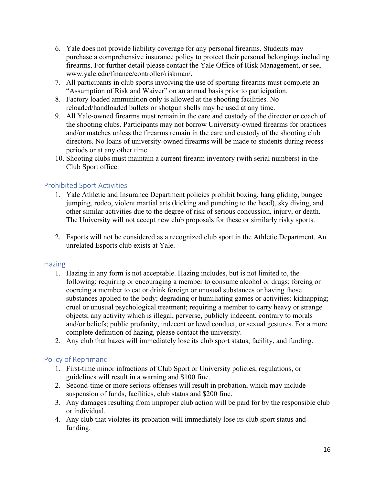- 6. Yale does not provide liability coverage for any personal firearms. Students may purchase a comprehensive insurance policy to protect their personal belongings including firearms. For further detail please contact the Yale Office of Risk Management, or see, www.yale.edu/finance/controller/riskman/.
- 7. All participants in club sports involving the use of sporting firearms must complete an "Assumption of Risk and Waiver" on an annual basis prior to participation.
- 8. Factory loaded ammunition only is allowed at the shooting facilities. No reloaded/handloaded bullets or shotgun shells may be used at any time.
- 9. All Yale-owned firearms must remain in the care and custody of the director or coach of the shooting clubs. Participants may not borrow University-owned firearms for practices and/or matches unless the firearms remain in the care and custody of the shooting club directors. No loans of university-owned firearms will be made to students during recess periods or at any other time.
- 10. Shooting clubs must maintain a current firearm inventory (with serial numbers) in the Club Sport office.

## <span id="page-15-0"></span>Prohibited Sport Activities

- 1. Yale Athletic and Insurance Department policies prohibit boxing, hang gliding, bungee jumping, rodeo, violent martial arts (kicking and punching to the head), sky diving, and other similar activities due to the degree of risk of serious concussion, injury, or death. The University will not accept new club proposals for these or similarly risky sports.
- 2. Esports will not be considered as a recognized club sport in the Athletic Department. An unrelated Esports club exists at Yale.

#### <span id="page-15-1"></span>**Hazing**

- 1. Hazing in any form is not acceptable. Hazing includes, but is not limited to, the following: requiring or encouraging a member to consume alcohol or drugs; forcing or coercing a member to eat or drink foreign or unusual substances or having those substances applied to the body; degrading or humiliating games or activities; kidnapping; cruel or unusual psychological treatment; requiring a member to carry heavy or strange objects; any activity which is illegal, perverse, publicly indecent, contrary to morals and/or beliefs; public profanity, indecent or lewd conduct, or sexual gestures. For a more complete definition of hazing, please contact the university.
- 2. Any club that hazes will immediately lose its club sport status, facility, and funding.

## <span id="page-15-2"></span>Policy of Reprimand

- 1. First-time minor infractions of Club Sport or University policies, regulations, or guidelines will result in a warning and \$100 fine.
- 2. Second-time or more serious offenses will result in probation, which may include suspension of funds, facilities, club status and \$200 fine.
- 3. Any damages resulting from improper club action will be paid for by the responsible club or individual.
- 4. Any club that violates its probation will immediately lose its club sport status and funding.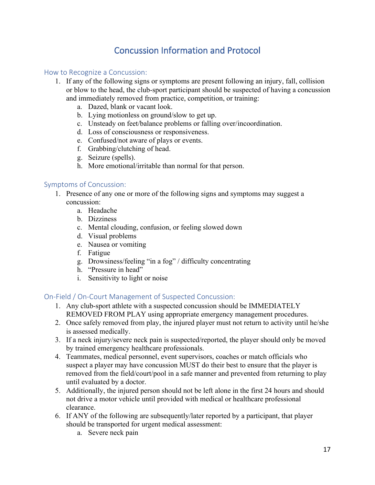# Concussion Information and Protocol

## <span id="page-16-1"></span><span id="page-16-0"></span>How to Recognize a Concussion:

- 1. If any of the following signs or symptoms are present following an injury, fall, collision or blow to the head, the club-sport participant should be suspected of having a concussion and immediately removed from practice, competition, or training:
	- a. Dazed, blank or vacant look.
	- b. Lying motionless on ground/slow to get up.
	- c. Unsteady on feet/balance problems or falling over/incoordination.
	- d. Loss of consciousness or responsiveness.
	- e. Confused/not aware of plays or events.
	- f. Grabbing/clutching of head.
	- g. Seizure (spells).
	- h. More emotional/irritable than normal for that person.

#### <span id="page-16-2"></span>Symptoms of Concussion:

- 1. Presence of any one or more of the following signs and symptoms may suggest a concussion:
	- a. Headache
	- b. Dizziness
	- c. Mental clouding, confusion, or feeling slowed down
	- d. Visual problems
	- e. Nausea or vomiting
	- f. Fatigue
	- g. Drowsiness/feeling "in a fog" / difficulty concentrating
	- h. "Pressure in head"
	- i. Sensitivity to light or noise

## <span id="page-16-3"></span>On-Field / On-Court Management of Suspected Concussion:

- 1. Any club-sport athlete with a suspected concussion should be IMMEDIATELY REMOVED FROM PLAY using appropriate emergency management procedures.
- 2. Once safely removed from play, the injured player must not return to activity until he/she is assessed medically.
- 3. If a neck injury/severe neck pain is suspected/reported, the player should only be moved by trained emergency healthcare professionals.
- 4. Teammates, medical personnel, event supervisors, coaches or match officials who suspect a player may have concussion MUST do their best to ensure that the player is removed from the field/court/pool in a safe manner and prevented from returning to play until evaluated by a doctor.
- 5. Additionally, the injured person should not be left alone in the first 24 hours and should not drive a motor vehicle until provided with medical or healthcare professional clearance.
- 6. If ANY of the following are subsequently/later reported by a participant, that player should be transported for urgent medical assessment:
	- a. Severe neck pain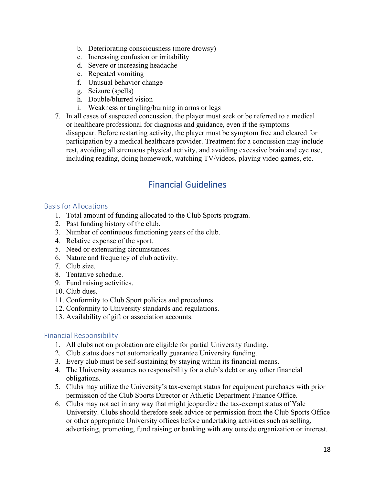- b. Deteriorating consciousness (more drowsy)
- c. Increasing confusion or irritability
- d. Severe or increasing headache
- e. Repeated vomiting
- f. Unusual behavior change
- g. Seizure (spells)
- h. Double/blurred vision
- i. Weakness or tingling/burning in arms or legs
- 7. In all cases of suspected concussion, the player must seek or be referred to a medical or healthcare professional for diagnosis and guidance, even if the symptoms disappear. Before restarting activity, the player must be symptom free and cleared for participation by a medical healthcare provider. Treatment for a concussion may include rest, avoiding all strenuous physical activity, and avoiding excessive brain and eye use, including reading, doing homework, watching TV/videos, playing video games, etc.

# Financial Guidelines

# <span id="page-17-1"></span><span id="page-17-0"></span>Basis for Allocations

- 1. Total amount of funding allocated to the Club Sports program.
- 2. Past funding history of the club.
- 3. Number of continuous functioning years of the club.
- 4. Relative expense of the sport.
- 5. Need or extenuating circumstances.
- 6. Nature and frequency of club activity.
- 7. Club size.
- 8. Tentative schedule.
- 9. Fund raising activities.
- 10. Club dues.
- 11. Conformity to Club Sport policies and procedures.
- 12. Conformity to University standards and regulations.
- 13. Availability of gift or association accounts.

# <span id="page-17-2"></span>Financial Responsibility

- 1. All clubs not on probation are eligible for partial University funding.
- 2. Club status does not automatically guarantee University funding.
- 3. Every club must be self-sustaining by staying within its financial means.
- 4. The University assumes no responsibility for a club's debt or any other financial obligations.
- 5. Clubs may utilize the University's tax-exempt status for equipment purchases with prior permission of the Club Sports Director or Athletic Department Finance Office.
- 6. Clubs may not act in any way that might jeopardize the tax-exempt status of Yale University. Clubs should therefore seek advice or permission from the Club Sports Office or other appropriate University offices before undertaking activities such as selling, advertising, promoting, fund raising or banking with any outside organization or interest.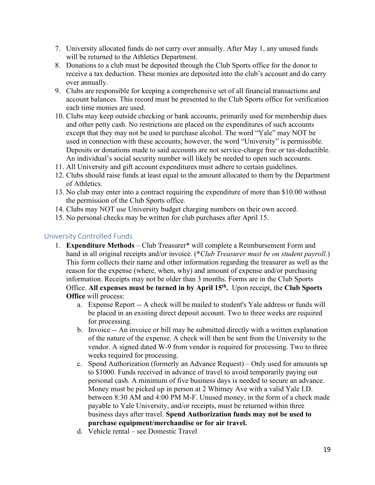- 7. University allocated funds do not carry over annually. After May 1, any unused funds will be returned to the Athletics Department.
- 8. Donations to a club must be deposited through the Club Sports office for the donor to receive a tax deduction. These monies are deposited into the club's account and do carry over annually.
- 9. Clubs are responsible for keeping a comprehensive set of all financial transactions and account balances. This record must be presented to the Club Sports office for verification each time monies are used.
- 10. Clubs may keep outside checking or bank accounts, primarily used for membership dues and other petty cash. No restrictions are placed on the expenditures of such accounts except that they may not be used to purchase alcohol. The word "Yale" may NOT be used in connection with these accounts; however, the word "University" is permissible. Deposits or donations made to said accounts are not service-charge free or tax-deductible. An individual's social security number will likely be needed to open such accounts.
- 11. All University and gift account expenditures must adhere to certain guidelines.
- 12. Clubs should raise funds at least equal to the amount allocated to them by the Department of Athletics.
- 13. No club may enter into a contract requiring the expenditure of more than \$10.00 without the permission of the Club Sports office.
- 14. Clubs may NOT use University budget charging numbers on their own accord.
- 15. No personal checks may be written for club purchases after April 15.

## <span id="page-18-0"></span>University Controlled Funds

- 1. **Expenditure Methods** Club Treasurer\* will complete a Reimbursement Form and hand in all original receipts and/or invoice. (\**Club Treasurer must be on student payroll*.) This form collects their name and other information regarding the treasurer as well as the reason for the expense (where, when, why) and amount of expense and/or purchasing information. Receipts may not be older than 3 months. Forms are in the Club Sports Office. **All expenses must be turned in by April 15th.** Upon receipt, the **Club Sports Office** will process:
	- a. Expense Report -- A check will be mailed to student's Yale address or funds will be placed in an existing direct deposit account. Two to three weeks are required for processing.
	- b. Invoice -- An invoice or bill may be submitted directly with a written explanation of the nature of the expense. A check will then be sent from the University to the vendor. A signed dated W-9 from vendor is required for processing. Two to three weeks required for processing.
	- c. Spend Authorization (formerly an Advance Request) Only used for amounts up to \$1000. Funds received in advance of travel to avoid temporarily paying out personal cash. A minimum of five business days is needed to secure an advance. Money must be picked up in person at 2 Whitney Ave with a valid Yale I.D. between 8:30 AM and 4:00 PM M-F. Unused money, in the form of a check made payable to Yale University, and/or receipts, must be returned within three business days after travel. **Spend Authorization funds may not be used to purchase equipment/merchandise or for air travel.**
	- d. Vehicle rental see Domestic Travel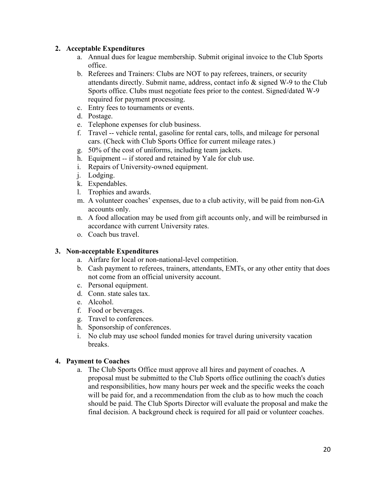## **2. Acceptable Expenditures**

- a. Annual dues for league membership. Submit original invoice to the Club Sports office.
- b. Referees and Trainers: Clubs are NOT to pay referees, trainers, or security attendants directly. Submit name, address, contact info  $\&$  signed W-9 to the Club Sports office. Clubs must negotiate fees prior to the contest. Signed/dated W-9 required for payment processing.
- c. Entry fees to tournaments or events.
- d. Postage.
- e. Telephone expenses for club business.
- f. Travel -- vehicle rental, gasoline for rental cars, tolls, and mileage for personal cars. (Check with Club Sports Office for current mileage rates.)
- g. 50% of the cost of uniforms, including team jackets.
- h. Equipment -- if stored and retained by Yale for club use.
- i. Repairs of University-owned equipment.
- j. Lodging.
- k. Expendables.
- l. Trophies and awards.
- m. A volunteer coaches' expenses, due to a club activity, will be paid from non-GA accounts only.
- n. A food allocation may be used from gift accounts only, and will be reimbursed in accordance with current University rates.
- o. Coach bus travel.

## **3. Non-acceptable Expenditures**

- a. Airfare for local or non-national-level competition.
- b. Cash payment to referees, trainers, attendants, EMTs, or any other entity that does not come from an official university account.
- c. Personal equipment.
- d. Conn. state sales tax.
- e. Alcohol.
- f. Food or beverages.
- g. Travel to conferences.
- h. Sponsorship of conferences.
- i. No club may use school funded monies for travel during university vacation breaks.

## **4. Payment to Coaches**

a. The Club Sports Office must approve all hires and payment of coaches. A proposal must be submitted to the Club Sports office outlining the coach's duties and responsibilities, how many hours per week and the specific weeks the coach will be paid for, and a recommendation from the club as to how much the coach should be paid. The Club Sports Director will evaluate the proposal and make the final decision. A background check is required for all paid or volunteer coaches.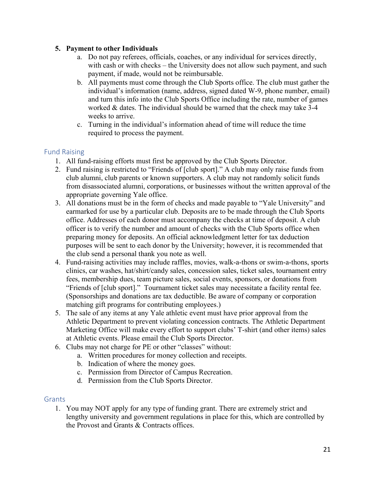## **5. Payment to other Individuals**

- a. Do not pay referees, officials, coaches, or any individual for services directly, with cash or with checks – the University does not allow such payment, and such payment, if made, would not be reimbursable.
- b. All payments must come through the Club Sports office. The club must gather the individual's information (name, address, signed dated W-9, phone number, email) and turn this info into the Club Sports Office including the rate, number of games worked & dates. The individual should be warned that the check may take 3-4 weeks to arrive.
- c. Turning in the individual's information ahead of time will reduce the time required to process the payment.

# <span id="page-20-0"></span>Fund Raising

- 1. All fund-raising efforts must first be approved by the Club Sports Director.
- 2. Fund raising is restricted to "Friends of [club sport]." A club may only raise funds from club alumni, club parents or known supporters. A club may not randomly solicit funds from disassociated alumni, corporations, or businesses without the written approval of the appropriate governing Yale office.
- 3. All donations must be in the form of checks and made payable to "Yale University" and earmarked for use by a particular club. Deposits are to be made through the Club Sports office. Addresses of each donor must accompany the checks at time of deposit. A club officer is to verify the number and amount of checks with the Club Sports office when preparing money for deposits. An official acknowledgment letter for tax deduction purposes will be sent to each donor by the University; however, it is recommended that the club send a personal thank you note as well.
- 4. Fund-raising activities may include raffles, movies, walk-a-thons or swim-a-thons, sports clinics, car washes, hat/shirt/candy sales, concession sales, ticket sales, tournament entry fees, membership dues, team picture sales, social events, sponsors, or donations from "Friends of [club sport]." Tournament ticket sales may necessitate a facility rental fee. (Sponsorships and donations are tax deductible. Be aware of company or corporation matching gift programs for contributing employees.)
- 5. The sale of any items at any Yale athletic event must have prior approval from the Athletic Department to prevent violating concession contracts. The Athletic Department Marketing Office will make every effort to support clubs' T-shirt (and other items) sales at Athletic events. Please email the Club Sports Director.
- 6. Clubs may not charge for PE or other "classes" without:
	- a. Written procedures for money collection and receipts.
	- b. Indication of where the money goes.
	- c. Permission from Director of Campus Recreation.
	- d. Permission from the Club Sports Director.

## <span id="page-20-1"></span>Grants

1. You may NOT apply for any type of funding grant. There are extremely strict and lengthy university and government regulations in place for this, which are controlled by the Provost and Grants & Contracts offices.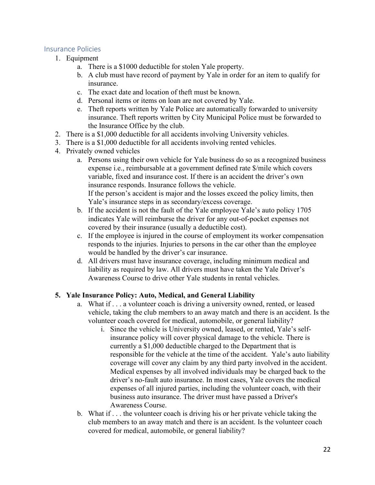## <span id="page-21-0"></span>Insurance Policies

- 1. Equipment
	- a. There is a \$1000 deductible for stolen Yale property.
	- b. A club must have record of payment by Yale in order for an item to qualify for insurance.
	- c. The exact date and location of theft must be known.
	- d. Personal items or items on loan are not covered by Yale.
	- e. Theft reports written by Yale Police are automatically forwarded to university insurance. Theft reports written by City Municipal Police must be forwarded to the Insurance Office by the club.
- 2. There is a \$1,000 deductible for all accidents involving University vehicles.
- 3. There is a \$1,000 deductible for all accidents involving rented vehicles.
- 4. Privately owned vehicles
	- a. Persons using their own vehicle for Yale business do so as a recognized business expense i.e., reimbursable at a government defined rate \$/mile which covers variable, fixed and insurance cost. If there is an accident the driver's own insurance responds. Insurance follows the vehicle. If the person's accident is major and the losses exceed the policy limits, then Yale's insurance steps in as secondary/excess coverage.
	- b. If the accident is not the fault of the Yale employee Yale's auto policy 1705 indicates Yale will reimburse the driver for any out-of-pocket expenses not covered by their insurance (usually a deductible cost).
	- c. If the employee is injured in the course of employment its worker compensation responds to the injuries. Injuries to persons in the car other than the employee would be handled by the driver's car insurance.
	- d. All drivers must have insurance coverage, including minimum medical and liability as required by law. All drivers must have taken the Yale Driver's Awareness Course to drive other Yale students in rental vehicles.

# **5. Yale Insurance Policy: Auto, Medical, and General Liability**

- a. What if . . . a volunteer coach is driving a university owned, rented, or leased vehicle, taking the club members to an away match and there is an accident. Is the volunteer coach covered for medical, automobile, or general liability?
	- i. Since the vehicle is University owned, leased, or rented, Yale's selfinsurance policy will cover physical damage to the vehicle. There is currently a \$1,000 deductible charged to the Department that is responsible for the vehicle at the time of the accident. Yale's auto liability coverage will cover any claim by any third party involved in the accident. Medical expenses by all involved individuals may be charged back to the driver's no-fault auto insurance. In most cases, Yale covers the medical expenses of all injured parties, including the volunteer coach, with their business auto insurance. The driver must have passed a Driver's Awareness Course.
- b. What if . . . the volunteer coach is driving his or her private vehicle taking the club members to an away match and there is an accident. Is the volunteer coach covered for medical, automobile, or general liability?